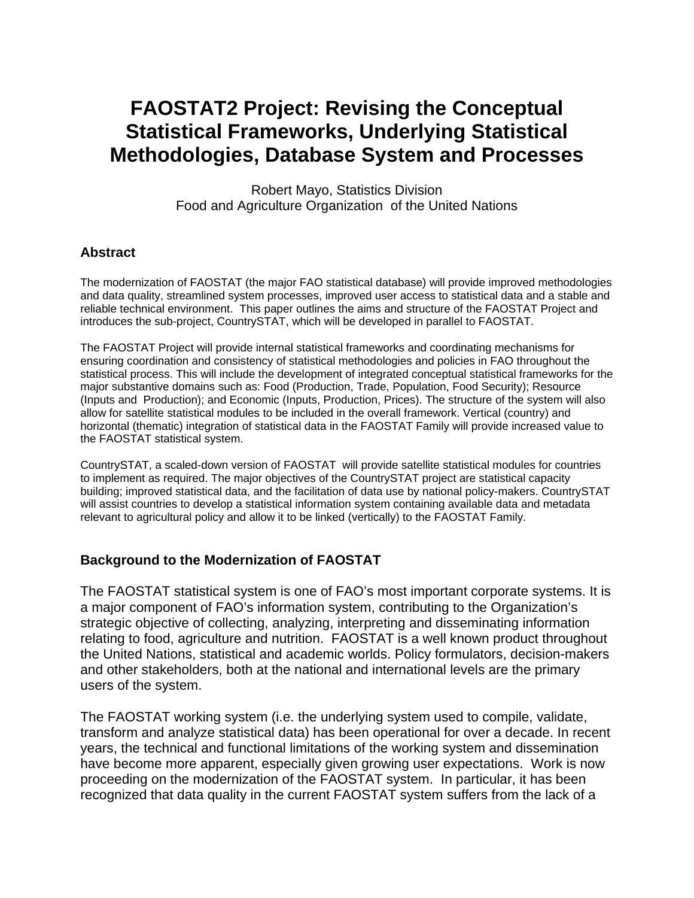# **FAOSTAT2 Project: Revising the Conceptual Statistical Frameworks, Underlying Statistical Methodologies, Database System and Processes**

Robert Mayo, Statistics Division Food and Agriculture Organization of the United Nations

#### **Abstract**

The modernization of FAOSTAT (the major FAO statistical database) will provide improved methodologies and data quality, streamlined system processes, improved user access to statistical data and a stable and reliable technical environment. This paper outlines the aims and structure of the FAOSTAT Project and introduces the sub-project, CountrySTAT, which will be developed in parallel to FAOSTAT.

The FAOSTAT Project will provide internal statistical frameworks and coordinating mechanisms for ensuring coordination and consistency of statistical methodologies and policies in FAO throughout the statistical process. This will include the development of integrated conceptual statistical frameworks for the major substantive domains such as: Food (Production, Trade, Population, Food Security); Resource (Inputs and Production); and Economic (Inputs, Production, Prices). The structure of the system will also allow for satellite statistical modules to be included in the overall framework. Vertical (country) and horizontal (thematic) integration of statistical data in the FAOSTAT Family will provide increased value to the FAOSTAT statistical system.

CountrySTAT, a scaled-down version of FAOSTAT will provide satellite statistical modules for countries to implement as required. The major objectives of the CountrySTAT project are statistical capacity building; improved statistical data, and the facilitation of data use by national policy-makers. CountrySTAT will assist countries to develop a statistical information system containing available data and metadata relevant to agricultural policy and allow it to be linked (vertically) to the FAOSTAT Family.

# **Background to the Modernization of FAOSTAT**

The FAOSTAT statistical system is one of FAO's most important corporate systems. It is a major component of FAO's information system, contributing to the Organization's strategic objective of collecting, analyzing, interpreting and disseminating information relating to food, agriculture and nutrition. FAOSTAT is a well known product throughout the United Nations, statistical and academic worlds. Policy formulators, decision-makers and other stakeholders, both at the national and international levels are the primary users of the system.

The FAOSTAT working system (i.e. the underlying system used to compile, validate, transform and analyze statistical data) has been operational for over a decade. In recent years, the technical and functional limitations of the working system and dissemination have become more apparent, especially given growing user expectations. Work is now proceeding on the modernization of the FAOSTAT system. In particular, it has been recognized that data quality in the current FAOSTAT system suffers from the lack of a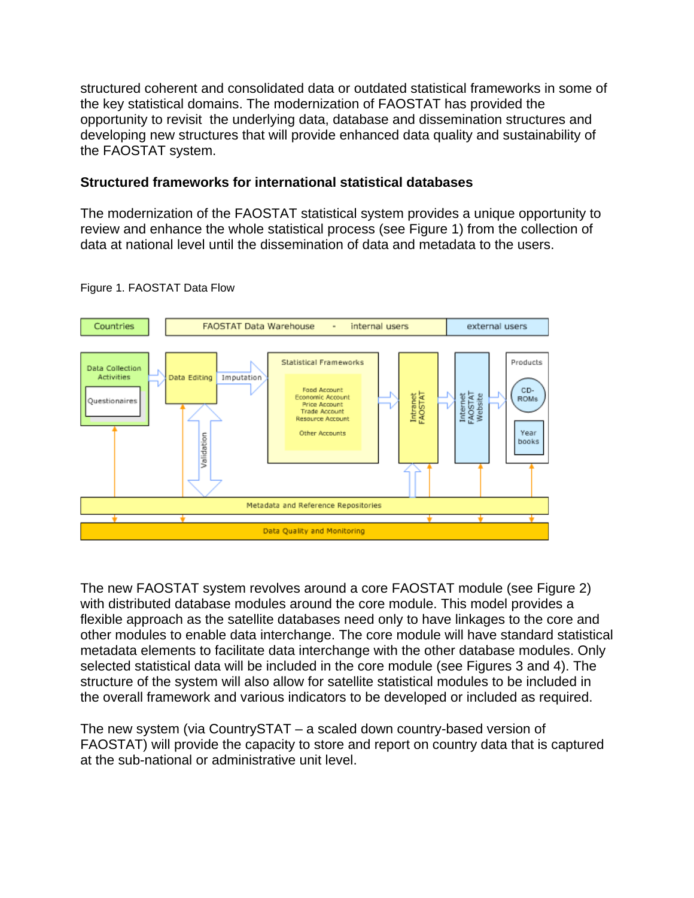structured coherent and consolidated data or outdated statistical frameworks in some of the key statistical domains. The modernization of FAOSTAT has provided the opportunity to revisit the underlying data, database and dissemination structures and developing new structures that will provide enhanced data quality and sustainability of the FAOSTAT system.

## **Structured frameworks for international statistical databases**

The modernization of the FAOSTAT statistical system provides a unique opportunity to review and enhance the whole statistical process (see Figure 1) from the collection of data at national level until the dissemination of data and metadata to the users.



Figure 1. FAOSTAT Data Flow

The new FAOSTAT system revolves around a core FAOSTAT module (see Figure 2) with distributed database modules around the core module. This model provides a flexible approach as the satellite databases need only to have linkages to the core and other modules to enable data interchange. The core module will have standard statistical metadata elements to facilitate data interchange with the other database modules. Only selected statistical data will be included in the core module (see Figures 3 and 4). The structure of the system will also allow for satellite statistical modules to be included in the overall framework and various indicators to be developed or included as required.

The new system (via CountrySTAT – a scaled down country-based version of FAOSTAT) will provide the capacity to store and report on country data that is captured at the sub-national or administrative unit level.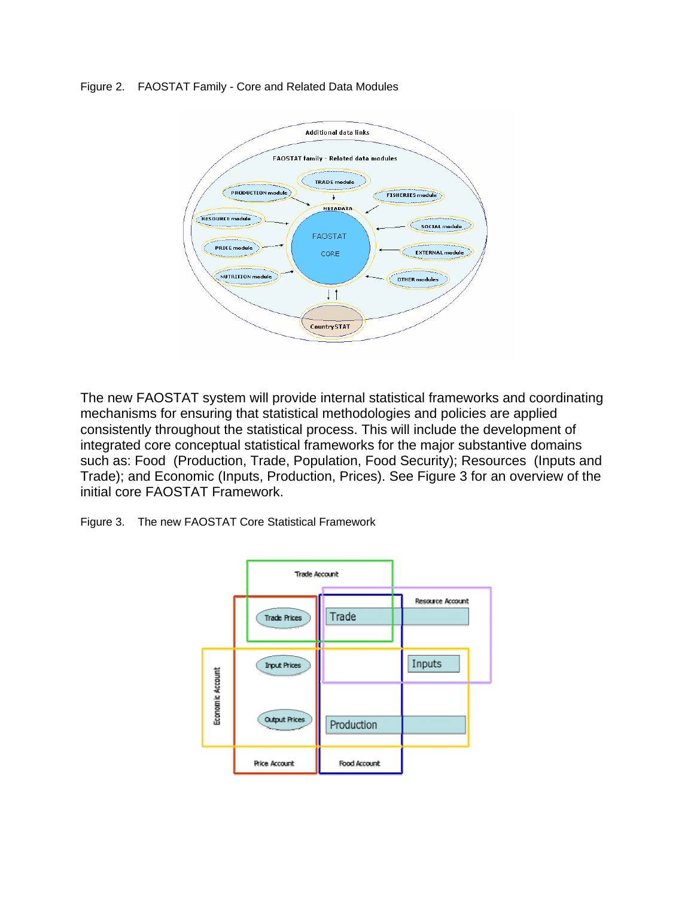Figure 2. FAOSTAT Family - Core and Related Data Modules



The new FAOSTAT system will provide internal statistical frameworks and coordinating mechanisms for ensuring that statistical methodologies and policies are applied consistently throughout the statistical process. This will include the development of integrated core conceptual statistical frameworks for the major substantive domains such as: Food (Production, Trade, Population, Food Security); Resources (Inputs and Trade); and Economic (Inputs, Production, Prices). See Figure 3 for an overview of the initial core FAOSTAT Framework.

Figure 3. The new FAOSTAT Core Statistical Framework

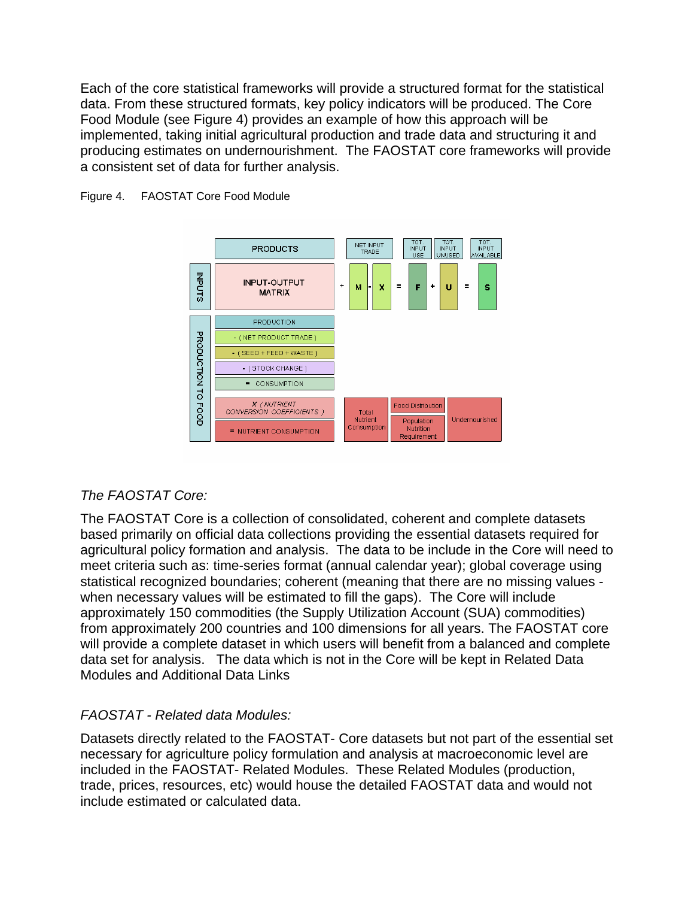Each of the core statistical frameworks will provide a structured format for the statistical data. From these structured formats, key policy indicators will be produced. The Core Food Module (see Figure 4) provides an example of how this approach will be implemented, taking initial agricultural production and trade data and structuring it and producing estimates on undernourishment. The FAOSTAT core frameworks will provide a consistent set of data for further analysis.



#### Figure 4. FAOSTAT Core Food Module

#### *The FAOSTAT Core:*

The FAOSTAT Core is a collection of consolidated, coherent and complete datasets based primarily on official data collections providing the essential datasets required for agricultural policy formation and analysis. The data to be include in the Core will need to meet criteria such as: time-series format (annual calendar year); global coverage using statistical recognized boundaries; coherent (meaning that there are no missing values when necessary values will be estimated to fill the gaps). The Core will include approximately 150 commodities (the Supply Utilization Account (SUA) commodities) from approximately 200 countries and 100 dimensions for all years. The FAOSTAT core will provide a complete dataset in which users will benefit from a balanced and complete data set for analysis. The data which is not in the Core will be kept in Related Data Modules and Additional Data Links

#### *FAOSTAT - Related data Modules:*

Datasets directly related to the FAOSTAT- Core datasets but not part of the essential set necessary for agriculture policy formulation and analysis at macroeconomic level are included in the FAOSTAT- Related Modules. These Related Modules (production, trade, prices, resources, etc) would house the detailed FAOSTAT data and would not include estimated or calculated data.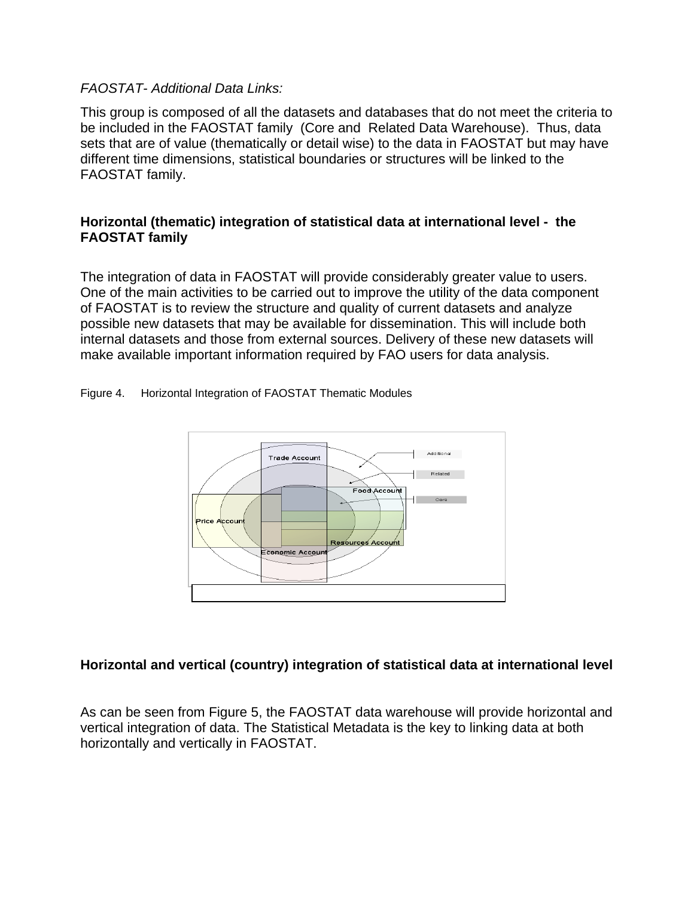#### *FAOSTAT- Additional Data Links:*

This group is composed of all the datasets and databases that do not meet the criteria to be included in the FAOSTAT family (Core and Related Data Warehouse). Thus, data sets that are of value (thematically or detail wise) to the data in FAOSTAT but may have different time dimensions, statistical boundaries or structures will be linked to the FAOSTAT family.

#### **Horizontal (thematic) integration of statistical data at international level - the FAOSTAT family**

The integration of data in FAOSTAT will provide considerably greater value to users. One of the main activities to be carried out to improve the utility of the data component of FAOSTAT is to review the structure and quality of current datasets and analyze possible new datasets that may be available for dissemination. This will include both internal datasets and those from external sources. Delivery of these new datasets will make available important information required by FAO users for data analysis.

Figure 4. Horizontal Integration of FAOSTAT Thematic Modules



#### **Horizontal and vertical (country) integration of statistical data at international level**

As can be seen from Figure 5, the FAOSTAT data warehouse will provide horizontal and vertical integration of data. The Statistical Metadata is the key to linking data at both horizontally and vertically in FAOSTAT.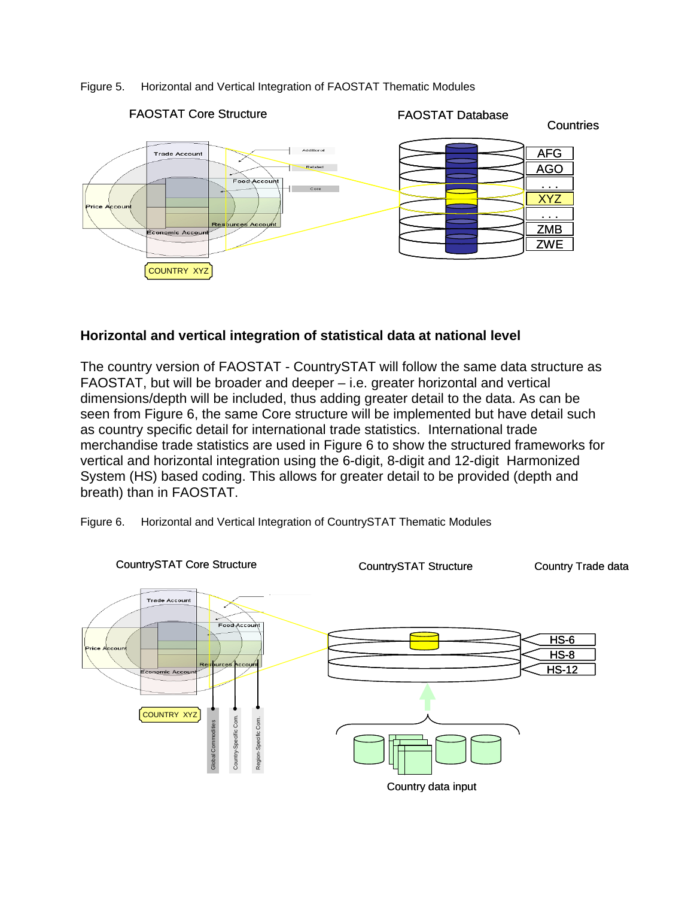#### Figure 5. Horizontal and Vertical Integration of FAOSTAT Thematic Modules



#### **Horizontal and vertical integration of statistical data at national level**

The country version of FAOSTAT - CountrySTAT will follow the same data structure as FAOSTAT, but will be broader and deeper – i.e. greater horizontal and vertical dimensions/depth will be included, thus adding greater detail to the data. As can be seen from Figure 6, the same Core structure will be implemented but have detail such as country specific detail for international trade statistics. International trade merchandise trade statistics are used in Figure 6 to show the structured frameworks for vertical and horizontal integration using the 6-digit, 8-digit and 12-digit Harmonized System (HS) based coding. This allows for greater detail to be provided (depth and breath) than in FAOSTAT.

Figure 6. Horizontal and Vertical Integration of CountrySTAT Thematic Modules

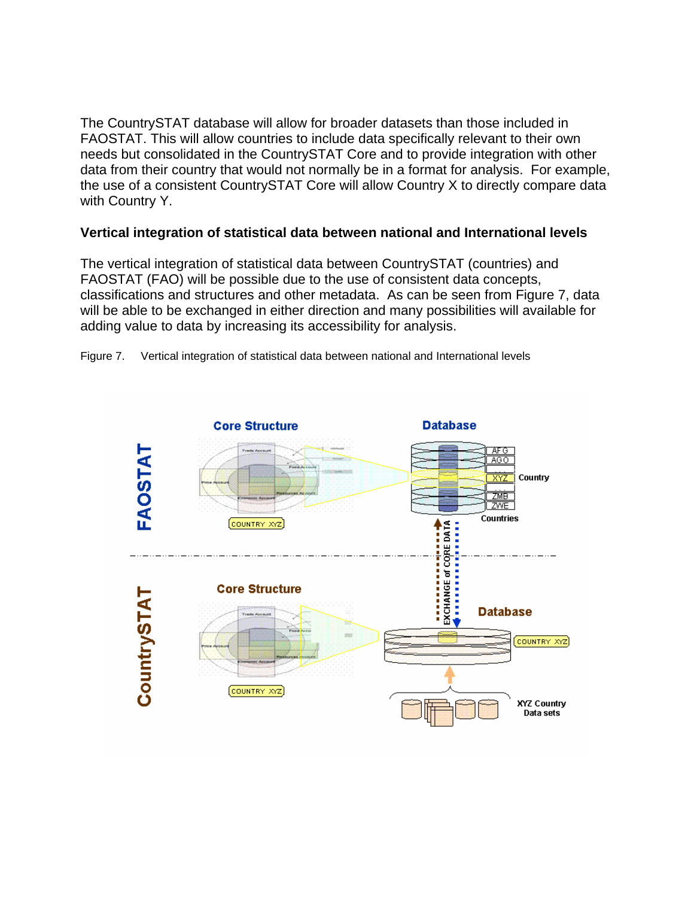The CountrySTAT database will allow for broader datasets than those included in FAOSTAT. This will allow countries to include data specifically relevant to their own needs but consolidated in the CountrySTAT Core and to provide integration with other data from their country that would not normally be in a format for analysis. For example, the use of a consistent CountrySTAT Core will allow Country X to directly compare data with Country Y.

### **Vertical integration of statistical data between national and International levels**

The vertical integration of statistical data between CountrySTAT (countries) and FAOSTAT (FAO) will be possible due to the use of consistent data concepts, classifications and structures and other metadata. As can be seen from Figure 7, data will be able to be exchanged in either direction and many possibilities will available for adding value to data by increasing its accessibility for analysis.



Figure 7. Vertical integration of statistical data between national and International levels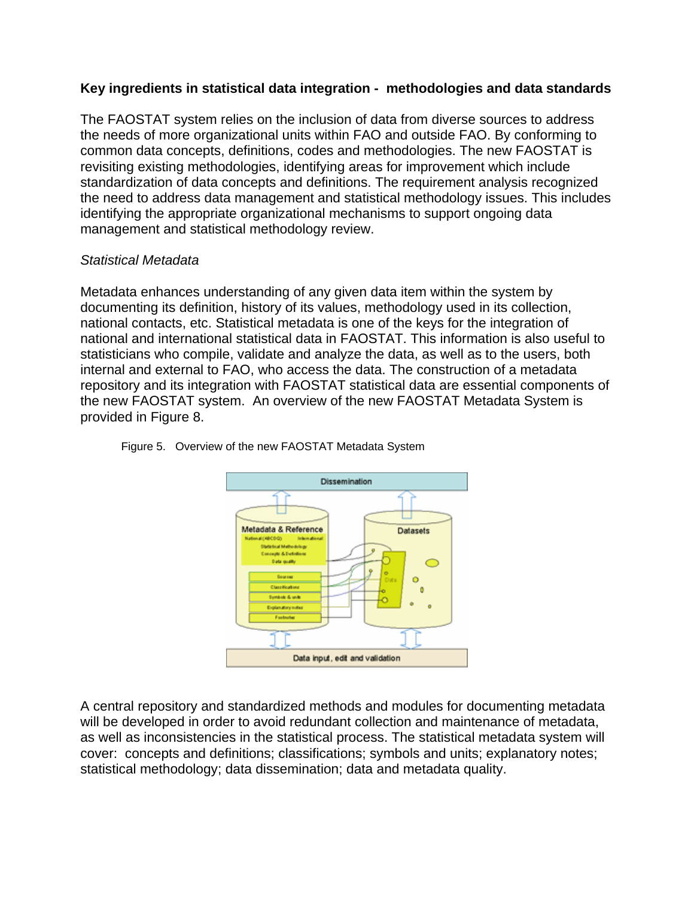# **Key ingredients in statistical data integration - methodologies and data standards**

The FAOSTAT system relies on the inclusion of data from diverse sources to address the needs of more organizational units within FAO and outside FAO. By conforming to common data concepts, definitions, codes and methodologies. The new FAOSTAT is revisiting existing methodologies, identifying areas for improvement which include standardization of data concepts and definitions. The requirement analysis recognized the need to address data management and statistical methodology issues. This includes identifying the appropriate organizational mechanisms to support ongoing data management and statistical methodology review.

#### *Statistical Metadata*

Metadata enhances understanding of any given data item within the system by documenting its definition, history of its values, methodology used in its collection, national contacts, etc. Statistical metadata is one of the keys for the integration of national and international statistical data in FAOSTAT. This information is also useful to statisticians who compile, validate and analyze the data, as well as to the users, both internal and external to FAO, who access the data. The construction of a metadata repository and its integration with FAOSTAT statistical data are essential components of the new FAOSTAT system. An overview of the new FAOSTAT Metadata System is provided in Figure 8.



Figure 5. Overview of the new FAOSTAT Metadata System

A central repository and standardized methods and modules for documenting metadata will be developed in order to avoid redundant collection and maintenance of metadata, as well as inconsistencies in the statistical process. The statistical metadata system will cover: concepts and definitions; classifications; symbols and units; explanatory notes; statistical methodology; data dissemination; data and metadata quality.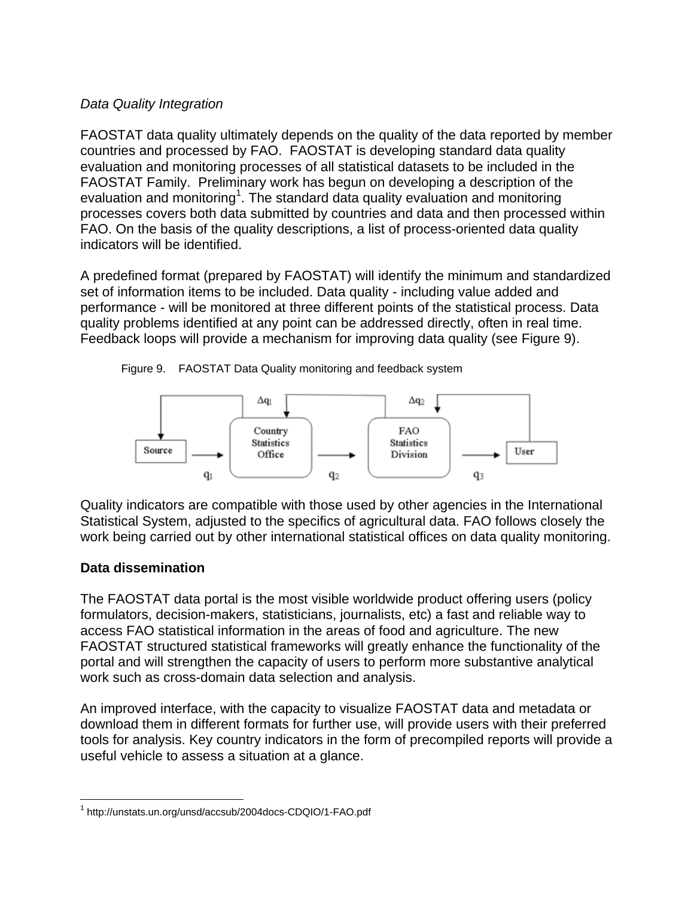#### *Data Quality Integration*

FAOSTAT data quality ultimately depends on the quality of the data reported by member countries and processed by FAO. FAOSTAT is developing standard data quality evaluation and monitoring processes of all statistical datasets to be included in the FAOSTAT Family. Preliminary work has begun on developing a description of the evaluation and monitoring<sup>1</sup>. The standard data quality evaluation and monitoring processes covers both data submitted by countries and data and then processed within FAO. On the basis of the quality descriptions, a list of process-oriented data quality indicators will be identified.

A predefined format (prepared by FAOSTAT) will identify the minimum and standardized set of information items to be included. Data quality - including value added and performance - will be monitored at three different points of the statistical process. Data quality problems identified at any point can be addressed directly, often in real time. Feedback loops will provide a mechanism for improving data quality (see Figure 9).

Figure 9. FAOSTAT Data Quality monitoring and feedback system



Quality indicators are compatible with those used by other agencies in the International Statistical System, adjusted to the specifics of agricultural data. FAO follows closely the work being carried out by other international statistical offices on data quality monitoring.

# **Data dissemination**

The FAOSTAT data portal is the most visible worldwide product offering users (policy formulators, decision-makers, statisticians, journalists, etc) a fast and reliable way to access FAO statistical information in the areas of food and agriculture. The new FAOSTAT structured statistical frameworks will greatly enhance the functionality of the portal and will strengthen the capacity of users to perform more substantive analytical work such as cross-domain data selection and analysis.

An improved interface, with the capacity to visualize FAOSTAT data and metadata or download them in different formats for further use, will provide users with their preferred tools for analysis. Key country indicators in the form of precompiled reports will provide a useful vehicle to assess a situation at a glance.

l 1 http://unstats.un.org/unsd/accsub/2004docs-CDQIO/1-FAO.pdf